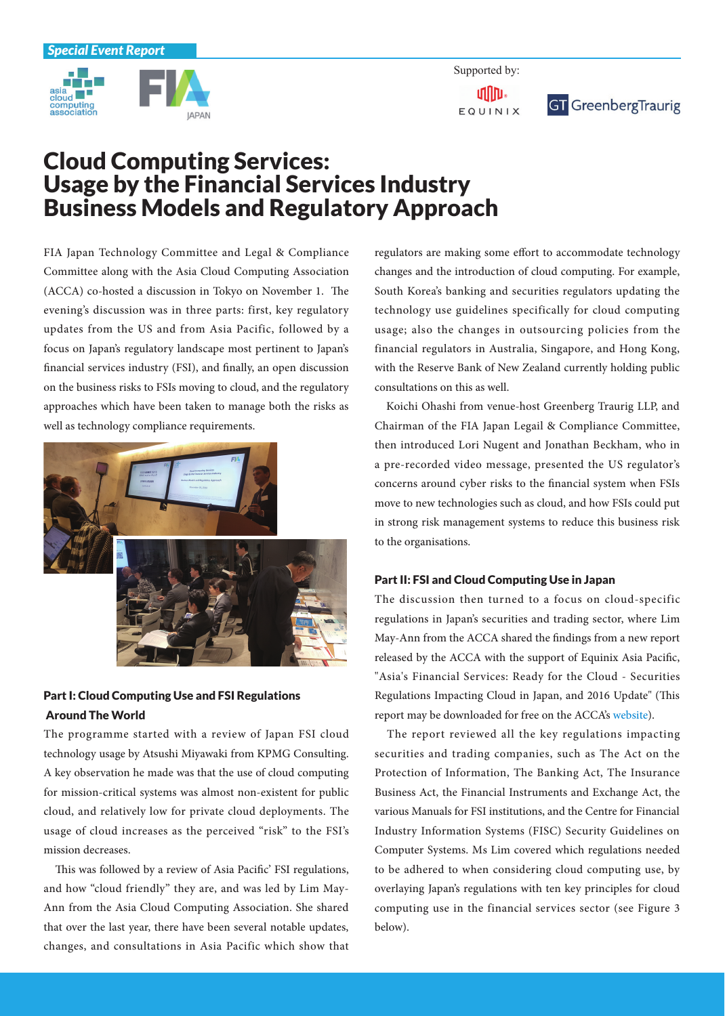

Supported by: ullin. EQUINIX



## **Cloud Computing Services:** Usage by the Financial Services Industry **Business Models and Regulatory Approach**

FIA Japan Technology Committee and Legal & Compliance Committee along with the Asia Cloud Computing Association (ACCA) co-hosted a discussion in Tokyo on November 1. The evening's discussion was in three parts: first, key regulatory updates from the US and from Asia Pacific, followed by a focus on Japan's regulatory landscape most pertinent to Japan's financial services industry (FSI), and finally, an open discussion on the business risks to FSIs moving to cloud, and the regulatory approaches which have been taken to manage both the risks as well as technology compliance requirements.



## Part I: Cloud Computing Use and FSI Regulations **Around The World**

The programme started with a review of Japan FSI cloud technology usage by Atsushi Miyawaki from KPMG Consulting. A key observation he made was that the use of cloud computing for mission-critical systems was almost non-existent for public cloud, and relatively low for private cloud deployments. The usage of cloud increases as the perceived "risk" to the FSI's mission decreases.

This was followed by a review of Asia Pacific' FSI regulations, Ann from the Asia Cloud Computing Association. She shared and how "cloud friendly" they are, and was led by Lim Maythat over the last year, there have been several notable updates, changes, and consultations in Asia Pacific which show that regulators are making some effort to accommodate technology changes and the introduction of cloud computing. For example, South Korea's banking and securities regulators updating the technology use guidelines specifically for cloud computing usage; also the changes in outsourcing policies from the financial regulators in Australia, Singapore, and Hong Kong, with the Reserve Bank of New Zealand currently holding public consultations on this as well.

Koichi Ohashi from venue-host Greenberg Traurig LLP, and Chairman of the FIA Japan Legail & Compliance Committee, then introduced Lori Nugent and Jonathan Beckham, who in a pre-recorded video message, presented the US regulator's concerns around cyber risks to the financial system when FSIs move to new technologies such as cloud, and how FSIs could put in strong risk management systems to reduce this business risk to the organisations.

## Part II: FSI and Cloud Computing Use in Japan

The discussion then turned to a focus on cloud-specific regulations in Japan's securities and trading sector, where Lim May-Ann from the ACCA shared the findings from a new report released by the ACCA with the support of Equinix Asia Pacific, "Asia's Financial Services: Ready for the Cloud - Securities Regulations Impacting Cloud in Japan, and 2016 Update" (This report may be downloaded for free on the ACCA's [website](http://www.asiacloudcomputing.org)).

The report reviewed all the key regulations impacting securities and trading companies, such as The Act on the Protection of Information, The Banking Act, The Insurance Business Act, the Financial Instruments and Exchange Act, the various Manuals for FSI institutions, and the Centre for Financial Industry Information Systems (FISC) Security Guidelines on Computer Systems. Ms Lim covered which regulations needed to be adhered to when considering cloud computing use, by overlaying Japan's regulations with ten key principles for cloud computing use in the financial services sector (see Figure 3 below).